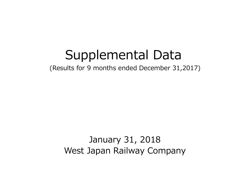# Supplemental Data

(Results for 9 months ended December 31,2017)

January 31, 2018 West Japan Railway Company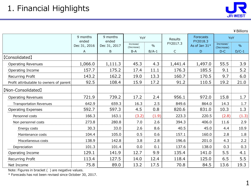

¥Billions

|                                         | 9 months<br>ended | 9 months<br>ended | YoY                     |         | Results     | Forecasts<br>FY2018.3 |                         | YoY     |  |
|-----------------------------------------|-------------------|-------------------|-------------------------|---------|-------------|-----------------------|-------------------------|---------|--|
|                                         | Dec 31, 2016      | Dec 31, 2017      | Increase/<br>(Decrease) | $\%$    | FY2017.3    | As of Jan 31*         | Increase/<br>(Decrease) | $\%$    |  |
|                                         | A                 | B                 | $B-A$                   | $B/A-1$ | $\mathsf C$ | D                     | $D-C$                   | $D/C-1$ |  |
| [Consolidated]                          |                   |                   |                         |         |             |                       |                         |         |  |
| <b>Operating Revenues</b>               | 1,066.0           | 1,111.3           | 45.3                    | 4.3     | 1,441.4     | 1,497.0               | 55.5                    | 3.9     |  |
| Operating Income                        | 157.7             | 175.2             | 17.4                    | 11.1    | 176.3       | 185.5                 | 9.1                     | 5.2     |  |
| Recurring Profit                        | 143.2             | 162.2             | 19.0                    | 13.3    | 160.7       | 170.5                 | 9.7                     | 6.0     |  |
| Profit attributable to owners of parent | 92.5              | 108.4             | 15.9                    | 17.2    | 91.2        | 110.5                 | 19.2                    | 21.0    |  |
| [Non-Consolidated]                      |                   |                   |                         |         |             |                       |                         |         |  |
| <b>Operating Revenues</b>               | 721.9             | 739.2             | 17.2                    | 2.4     | 956.1       | 972.0                 | 15.8                    | 1.7     |  |
| <b>Transportation Revenues</b>          | 642.9             | 659.3             | 16.3                    | 2.5     | 849.6       | 864.0                 | 14.3                    | 1.7     |  |
| <b>Operating Expenses</b>               | 592.7             | 597.3             | 4.5                     | 0.8     | 820.6       | 831.0                 | 10.3                    | 1.3     |  |
| Personnel costs                         | 166.3             | 163.1             | (3.2)                   | (1.9)   | 223.3       | 220.5                 | (2.8)                   | (1.3)   |  |
| Non personnel costs                     | 273.8             | 280.8             | 7.0                     | 2.6     | 394.3       | 406.0                 | 11.6                    | 2.9     |  |
| Energy costs                            | 30.3              | 33.0              | 2.6                     | 8.6     | 40.5        | 45.0                  | 4.4                     | 10.9    |  |
| Maintenance costs                       | 104.4             | 105.0             | 0.5                     | 0.6     | 157.1       | 160.0                 | 2.8                     | 1.8     |  |
| Miscellaneous costs                     | 138.9             | 142.8             | 3.8                     | 2.8     | 196.6       | 201.0                 | 4.3                     | 2.2     |  |
| Depreciation                            | 101.3             | 101.4             | 0.0                     | 0.1     | 137.6       | 138.0                 | 0.3                     | 0.3     |  |
| Operating Income                        | 129.1             | 141.9             | 12.7                    | 9.9     | 135.4       | 141.0                 | 5.5                     | 4.1     |  |
| Recurring Profit                        | 113.4             | 127.5             | 14.0                    | 12.4    | 118.4       | 125.0                 | 6.5                     | 5.5     |  |
| Net Income                              | 75.8              | 89.0              | 13.2                    | 17.5    | 70.8        | 84.5                  | 13.6                    | 19.3    |  |

Note: Figures in bracket ( ) are negative values.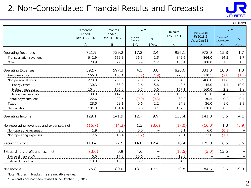## 2. Non-Consolidated Financial Results and Forecasts



¥Billions

|                                          | 9 months              | 9 months              | YoY                             |         | Results     | <b>Forecasts</b>          | YoY                     |         |
|------------------------------------------|-----------------------|-----------------------|---------------------------------|---------|-------------|---------------------------|-------------------------|---------|
|                                          | ended<br>Dec 31, 2016 | ended<br>Dec 31, 2017 | Increase/<br>$\%$<br>(Decrease) |         | FY2017.3    | FY2018.3<br>As of Jan 31* | Increase/<br>(Decrease) | $\%$    |
|                                          | A                     | B                     | $B-A$                           | $B/A-1$ | $\mathsf C$ | D                         | $D-C$                   | $D/C-1$ |
| Operating Revenues                       | 721.9                 | 739.2                 | 17.2                            | 2.4     | 956.1       | 972.0                     | 15.8                    | 1.7     |
| Transportation revenues                  | 642.9                 | 659.3                 | 16.3                            | 2.5     | 849.6       | 864.0                     | 14.3                    | 1.7     |
| Other                                    | 78.9                  | 79.8                  | 0.9                             | 1.2     | 106.4       | 108.0                     | 1.5                     | 1.5     |
| Operating Expenses                       | 592.7                 | 597.3                 | 4.5                             | 0.8     | 820.6       | 831.0                     | 10.3                    | 1.3     |
| Personnel costs                          | 166.3                 | 163.1                 | (3.2)                           | (1.9)   | 223.3       | 220.5                     | (2.8)                   | (1.3)   |
| Non personnel costs                      | 273.8                 | 280.8                 | 7.0                             | 2.6     | 394.3       | 406.0                     | 11.6                    | 2.9     |
| Energy costs                             | 30.3                  | 33.0                  | 2.6                             | 8.6     | 40.5        | 45.0                      | 4.4                     | 10.9    |
| Maintenance costs                        | 104.4                 | 105.0                 | 0.5                             | 0.6     | 157.1       | 160.0                     | 2.8                     | 1.8     |
| Miscellaneous costs                      | 138.9                 | 142.8                 | 3.8                             | 2.8     | 196.6       | 201.0                     | 4.3                     | 2.2     |
| Rental payments, etc.                    | 22.6                  | 22.6                  | (0.0)                           | (0.3)   | 30.2        | 30.5                      | 0.2                     | 0.7     |
| Taxes                                    | 28.5                  | 29.1                  | 0.6                             | 2.2     | 34.9        | 36.0                      | 1.0                     | 2.9     |
| Depreciation                             | 101.3                 | 101.4                 | 0.0                             | 0.1     | 137.6       | 138.0                     | 0.3                     | 0.3     |
| Operating Income                         | 129.1                 | 141.9                 | 12.7                            | 9.9     | 135.4       | 141.0                     | 5.5                     | 4.1     |
| Non-operating revenues and expenses, net | (15.7)                | (14.3)                | 1.3                             | (8.6)   | (17.0)      | (16.0)                    | 1.0                     | (5.9)   |
| Non-operating revenues                   | 1.9                   | 2.0                   | 0.0                             |         | 6.1         | 6.0                       | (0.1)                   |         |
| Non-operating expenses                   | 17.6                  | 16.4                  | (1.2)                           |         | 23.1        | 22.0                      | (1.1)                   |         |
| <b>Recurring Profit</b>                  | 113.4                 | 127.5                 | 14.0                            | 12.4    | 118.4       | 125.0                     | 6.5                     | 5.5     |
| Extraordinary profit and loss, net       | (3.6)                 | 0.9                   | 4.6                             |         | (16.5)      | (3.0)                     | 13.5                    |         |
| Extraordinary profit                     | 6.6                   | 17.3                  | 10.6                            |         | 18.3        |                           |                         |         |
| Extraordinary loss                       | 10.3                  | 16.3                  | 5.9                             |         | 34.9        |                           |                         |         |
| Net Income                               | 75.8                  | 89.0                  | 13.2                            | 17.5    | 70.8        | 84.5                      | 13.6                    | 19.3    |

Note: Figures in bracket ( ) are negative values.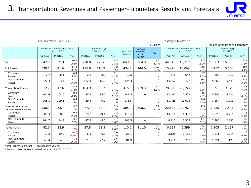

#### Transportation Revenues Passenger-Kilometers

|                                              | ¥ Billions                                              |          |                    |                                      |          |             |                       |                          |                          |          |                                                         |             | Millions of passenger-kilometers |                                      |             |  |
|----------------------------------------------|---------------------------------------------------------|----------|--------------------|--------------------------------------|----------|-------------|-----------------------|--------------------------|--------------------------|----------|---------------------------------------------------------|-------------|----------------------------------|--------------------------------------|-------------|--|
|                                              | Results for 9 months ended Dec 31<br>$(4/1 \sim 12/31)$ |          |                    | 3 months (3Q)<br>$(10/1 \sim 12/31)$ |          | FY2017.3    | FY2018.3<br>Forecasts |                          | YoY                      |          | Results for 9 months ended Dec 31<br>$(4/1 \sim 12/31)$ |             |                                  | 3 months (3Q)<br>$(10/1 \sim 12/31)$ |             |  |
|                                              | FY2017.3                                                | FY2018.3 | YoY                | FY2017.3                             | FY2018.3 | YoY         | Results               | As of<br>Jan 31*         |                          | FY2017.3 | FY2018.3                                                | YoY         | FY2017.3                         | FY2018.3                             | YoY         |  |
| Total                                        | 642.9                                                   | 659.3    | 16.3<br>2.5%       | 220.0                                | 225.6    | 5.5<br>2.5% | 849.6                 | 864.0                    | 14.3<br>1.7%             | 44,345   | 45,217                                                  | 872<br>2.0% | 15,063                           | 15,336                               | 272<br>1.8% |  |
| Shinkansen                                   | 330.1                                                   | 341.6    | 11.4<br>3.5%       | 115.0                                | 118.9    | 3.8<br>3.4% | 434.6                 | 444.6                    | 10.0<br>2.3%             | 15,476   | 16,064                                                  | 588<br>3.8% | 5,472                            | 5,656                                | 184<br>3.4% |  |
| Commuter<br>Passes                           | 7.7                                                     | 8.1      | 0.4<br>5.5%        | 2.6                                  | 2.7      | 0.1<br>4.1% | 10.2                  | -                        |                          | 618      | 642                                                     | 23<br>3.8%  | 202                              | 210                                  | 3.9%        |  |
| Non-Commuter<br>Passes                       | 322.4                                                   | 333.4    | 11.0<br>3.4%       | 112.4                                | 116.2    | 3.7<br>3.4% | 424.3                 | $-$                      |                          | 14,857   | 15,422                                                  | 564<br>3.8% | 5,269                            | 5,445                                | 176<br>3.3% |  |
| <b>Conventional Lines</b>                    | 312.7                                                   | 317.6    | 4.8<br>1.6%        | 104.9                                | 106.7    | 1.7<br>1.6% | 415.0                 | 419.3                    | 4.2<br>1.0%              | 28,868   | 29,153                                                  | 284<br>1.0% | 9,591                            | 9,679                                | 88<br>0.9%  |  |
| Commuter<br>Passes                           | 107.6                                                   | 108.0    | 0.4<br>0.4%        | 35.5                                 | 35.7     | 0.2<br>0.7% | 141.5                 | -                        |                          | 17,440   | 17,529                                                  | 89<br>0.5%  | 5,706                            | 5,726                                | 19<br>0.3%  |  |
| Non-Commuter<br>Passes                       | 205.1                                                   | 209.6    | 4.4<br>2.2%        | 69.4                                 | 70.9     | 1.4<br>2.1% | 273.5                 | $\qquad \qquad$          | $\overline{\phantom{a}}$ | 11,428   | 11,623                                                  | 194<br>1.7% | 3,884                            | 3,953                                | 68<br>1.8%  |  |
| Kansai Urban Area<br>(Kyoto-Osaka-Kobe Area) | 230.1                                                   | 233.7    | 3.6<br>1.6%        | 77.1                                 | 78.1     | 0.9<br>1.3% | 305.0                 | 308.2                    | 3.2<br>1.1%              | 22,528   | 22,753                                                  | 224<br>1.0% | 7,485                            | 7,541                                | 56<br>0.8%  |  |
| Commuter<br>Passes                           | 88.3                                                    | 88.8     | 0.4<br>0.5%        | 29.2                                 | 29.4     | 0.2<br>0.7% | 116.4                 | -                        |                          | 14,311   | 14,390                                                  | 79<br>0.6%  | 4,695                            | 4,711                                | 16<br>0.4%  |  |
| Non-Commuter<br>Passes                       | 141.7                                                   | 144.9    | 3.1<br>2.2%        | 47.9                                 | 48.6     | 0.7<br>1.6% | 188.5                 | $\overline{\phantom{0}}$ | $\overline{\phantom{0}}$ | 8,217    | 8,362                                                   | 145<br>1.8% | 2,790                            | 2,830                                | 39<br>1.4%  |  |
| Other Lines                                  | 82.6                                                    | 83.9     | 1.2<br>1.5%        | 27.8                                 | 28.5     | 0.7<br>2.6% | 110.0                 | 111.0                    | 0.9<br>0.9%              | 6,339    | 6,399                                                   | 59<br>0.9%  | 2,105                            | 2,137                                | 32<br>1.5%  |  |
| Commuter<br>Passes                           | 19.2                                                    | 19.2     | (0.0)<br>$(0.1\%)$ | 6.3                                  | 6.3      | 0.0<br>0.7% | 25.1                  | $\overline{\phantom{0}}$ |                          | 3,128    | 3,139                                                   | 10<br>0.3%  | 1,011                            | 1,014                                | 3<br>0.3%   |  |
| Non-Commuter<br>Passes                       | 63.4                                                    | 64.6     | 1.2<br>2.0%        | 21.5                                 | 22.2     | 0.6<br>3.2% | 84.9                  | -                        |                          | 3,211    | 3,260                                                   | 49<br>1.5%  | 1,094                            | 1,123                                | 28<br>2.6%  |  |

Note: Figures in bracket ( ) are negative values.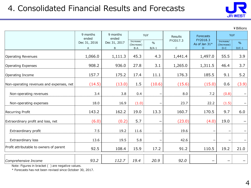

|                                          |                   |                   |                                                 |         |             |                           |                         | ¥ Billions               |
|------------------------------------------|-------------------|-------------------|-------------------------------------------------|---------|-------------|---------------------------|-------------------------|--------------------------|
|                                          | 9 months<br>ended | 9 months<br>ended | YoY<br>Increase/<br>$\frac{0}{0}$<br>(Decrease) |         | Results     | Forecasts                 | YoY                     |                          |
|                                          | Dec 31, 2016      | Dec 31, 2017      |                                                 |         | FY2017.3    | FY2018.3<br>As of Jan 31* | Increase/<br>(Decrease) | $\%$                     |
|                                          | A                 | B                 | B-A                                             | $B/A-1$ | $\mathsf C$ | D                         | $D-C$                   | $D/C-1$                  |
| <b>Operating Revenues</b>                | 1,066.0           | 1,111.3           | 45.3                                            | 4.3     | 1,441.4     | 1,497.0                   | 55.5                    | 3.9                      |
| <b>Operating Expenses</b>                | 908.2             | 936.0             | 27.8                                            | 3.1     | 1,265.0     | 1,311.5                   | 46.4                    | 3.7                      |
| Operating Income                         | 157.7             | 175.2             | 17.4                                            | 11.1    | 176.3       | 185.5                     | 9.1                     | 5.2                      |
| Non-operating revenues and expenses, net | (14.5)            | (13.0)            | 1.5                                             | (10.6)  | (15.6)      | (15.0)                    | 0.6                     | (3.9)                    |
| Non-operating revenues                   | 3.4               | 3.8               | 0.4                                             |         | 8.0         | 7.2                       | (0.8)                   |                          |
| Non-operating expenses                   | 18.0              | 16.9              | (1.0)                                           |         | 23.7        | 22.2                      | (1.5)                   | $\overline{\phantom{m}}$ |
| Recurring Profit                         | 143.2             | 162.2             | 19.0                                            | 13.3    | 160.7       | 170.5                     | 9.7                     | 6.0                      |
| Extraordinary profit and loss, net       | (6.0)             | (0.2)             | 5.7                                             |         | (23.0)      | (4.0)                     | 19.0                    |                          |
| Extraordinary profit                     | 7.5               | 19.2              | 11.6                                            |         | 19.6        |                           |                         |                          |
| Extraordinary loss                       | 13.6              | 19.5              | 5.8                                             |         | 42.6        |                           |                         | -                        |
| Profit attributable to owners of parent  | 92.5              | 108.4             | 15.9                                            | 17.2    | 91.2        | 110.5                     | 19.2                    | 21.0                     |
|                                          |                   |                   |                                                 |         |             |                           |                         |                          |
| Comprehensive Income                     | 93.2              | 112.7             | 19.4                                            | 20.9    | 92.0        |                           |                         |                          |

Note: Figures in bracket ( ) are negative values.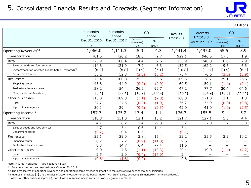

|                                                                 |                   |                         |                         |                          |                         |                          |                          | ¥ Billions               |
|-----------------------------------------------------------------|-------------------|-------------------------|-------------------------|--------------------------|-------------------------|--------------------------|--------------------------|--------------------------|
|                                                                 | 9 months<br>ended | 9 months<br>ended       |                         | YoY                      | Results                 | Forecasts<br>FY2018.3    | YoY                      |                          |
|                                                                 | Dec 31, 2016      | Dec 31, 2017            | Increase/<br>(Decrease) | $\frac{0}{0}$            | FY2017.3                | As of Jan $31^*1$        | Increase/<br>(Decrease)  | $\frac{0}{0}$            |
|                                                                 | A<br>1,066.0      | $\mathsf{B}$<br>1,111.3 | $B-A$<br>45.3           | $B/A-1$<br>4.3           | $\mathsf{C}$<br>1,441.4 | D.<br>1,497.0            | $D-C$<br>55.5            | $D/C-1$<br>3.9           |
| Operating Revenues <sup>*2</sup>                                |                   |                         |                         |                          |                         |                          |                          |                          |
| Transportation                                                  | 701.5             | 720.2                   | 18.6                    | 2.7                      | 929.1                   | 946.5                    | 17.3                     | 1.9                      |
| Retail                                                          | 175.9             | 180.4                   | 4.4                     | 2.6                      | 233.9                   | 240.8                    | 6.8                      | 2.9                      |
| Sales of goods and food services                                | 114.6             | 121.9                   | 7.2                     | 6.3                      | 152.5                   | 162.2                    | 9.6                      | 6.3                      |
| [Accommodation-oriented budget hotels] (restated) <sup>*3</sup> | [8.2]             | [8.8]                   | [0.5]                   | [7.1]                    | [10.8]                  | [11.7]                   | [0.9]                    | [8.5]                    |
| <b>Department Stores</b>                                        | 55.2              | 52.3                    | (2.8)                   | (5.2)                    | 73.4                    | 70.6                     | (2.8)                    | (3.9)                    |
| Real estate                                                     | 75.4              | 100.8                   | 25.3                    | 33.6                     | 109.5                   | 138.7                    | 29.1                     | 26.6                     |
| Shopping center                                                 | 45.8              | 44.9                    | (0.9)                   | (2.0)                    | 60.5                    | 59.1                     | (1.4)                    | (2.4)                    |
| Real estate lease and sale                                      | 28.2              | 54.4                    | 26.2                    | 92.7                     | 47.2                    | 77.7                     | 30.4                     | 64.6                     |
| [Real estate sale](restated)                                    | [5.1]             | [22.1]                  | [16.9]                  | [327.4]                  | [16.1]                  | [34.9]                   | [18.8]                   | [117.1]                  |
| Other businesses                                                | 113.0             | 109.8                   | (3.1)                   | (2.8)                    | 168.8                   | 171.0                    | 2.1                      | 1.3                      |
| Hotel                                                           | 27.7              | 27.5                    | (0.2)                   | (1.0)                    | 36.2                    | 35.9                     | (0.3)                    | (0.8)                    |
| Nippon Travel Agency                                            | 30.1              | 29.4                    | (0.6)                   | (2.3)                    | 42.0                    | 41.0                     | (1.0)                    | (2.5)                    |
| Operating Income*2                                              | 157.7             | 175.2                   | 17.4                    | 11.1                     | 176.3                   | 185.5                    | 9.1                      | 5.2                      |
| Transportation                                                  | 118.8             | 131.0                   | 12.1                    | 10.2                     | 121.7                   | 127.1                    | 5.3                      | 4.4                      |
| Retail                                                          | 4.7               | 6.2                     | 1.4                     | 29.8                     | 5.2                     | 7.0                      | 1.7                      | 33.3                     |
| Sales of goods and food services                                | 4.7               | 5.4                     | 0.6                     | 14.4                     | 5.1                     | $\overline{\phantom{m}}$ | $\qquad \qquad -$        | $\overline{\phantom{0}}$ |
| Department stores                                               | (0.2)             | 0.4                     | 0.6                     |                          | (0.1)                   |                          | —                        |                          |
| Real estate                                                     | 25.1              | 29.0                    | 3.8                     | 15.4                     | 32.2                    | 35.5                     | 3.2                      | 10.2                     |
| Shopping center                                                 | 8.2               | 7.2                     | (0.9)                   | (11.8)                   | 9.6                     |                          | $\overline{\phantom{0}}$ | $\overline{\phantom{0}}$ |
| Real estate lease and sale                                      | 8.3               | 14.7                    | 6.4                     | 77.4                     | 11.6                    |                          | -                        | -                        |
| Other businesses                                                | 9.0               | 7.8                     | (1.1)                   | (13.3)                   | 20.4                    | 19.0                     | (1.4)                    | (7.2)                    |
| Hotel                                                           | 2.5               | 2.0                     | (0.4)                   | (17.0)                   | 2.4                     | $\qquad \qquad -$        | —                        | $\overline{\phantom{0}}$ |
| Nippon Travel Agency                                            | (0.6)             | (1.6)                   | (0.9)                   | $\overline{\phantom{0}}$ | 0.6                     | $\overline{\phantom{0}}$ | -                        | $-$                      |

Note: Figures in bracket ( ) are negative values.

\*1 Forecasts has not been revised since October 30, 2017.

\*2 The breakdowns of operating revenues and operating income by each segment are the sums of revenues of major subsidiaries.

\*3 Figures in brackets 【 】 are the sales of accommodation-oriented budget hotel, "VIA INN", sales, excluding Shimonoseki (non-consolidated),

Asakusa (other business segment), and Hiroshima Kanayamacho (other business segment) locations.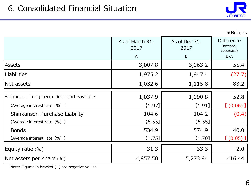

### ¥Billions

|                                        | As of March 31,<br>2017 | As of Dec 31,<br>2017 | <b>Difference</b><br>increase/<br>(decrease) |  |
|----------------------------------------|-------------------------|-----------------------|----------------------------------------------|--|
|                                        | A                       | B                     | B-A                                          |  |
| <b>Assets</b>                          | 3,007.8                 | 3,063.2               | 55.4                                         |  |
| Liabilities                            | 1,975.2                 | 1,947.4               | (27.7)                                       |  |
| Net assets                             | 1,032.6                 | 1,115.8               | 83.2                                         |  |
| Balance of Long-term Debt and Payables | 1,037.9                 | 1,090.8               | 52.8                                         |  |
| [Average interest rate (%) ]           | [1.97]                  | (1.91)                | $(0.06)$ ]                                   |  |
| Shinkansen Purchase Liability          | 104.6                   | 104.2                 | (0.4)                                        |  |
| [Average interest rate (%) ]           | [6.55]                  | [6.55]                |                                              |  |
| <b>Bonds</b>                           | 534.9                   | 574.9                 | 40.0                                         |  |
| [Average interest rate (%) ]           | $[1.75]$                | $[1.70]$              | $(0.05)$ ]                                   |  |
| Equity ratio $(\%)$                    | 31.3                    | 33.3                  | 2.0                                          |  |
| Net assets per share $(*)$             | 4,857.50                | 5,273.94              | 416.44                                       |  |

Note: Figures in bracket ( ) are negative values.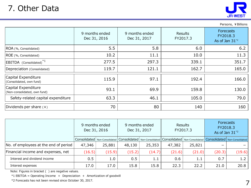

Persons, ¥ Billions

|                                                     | 9 months ended<br>Dec 31, 2016 | 9 months ended<br>Dec 31, 2017 | <b>Results</b><br>FY2017.3 | <b>Forecasts</b><br>FY2018.3<br>As of Jan $31^{2}$ |
|-----------------------------------------------------|--------------------------------|--------------------------------|----------------------------|----------------------------------------------------|
| ROA (%, Consolidated)                               | 5.5                            | 5.8                            | 6.0                        | 6.2                                                |
| ROE (%, Consolidated)                               | 10.2                           | 11.1                           | 10.0                       | 11.3                                               |
| EBITDA (Consolidated) <sup>*1</sup>                 | 277.5                          | 297.3                          | 339.1                      | 351.7                                              |
| Depreciation (Consolidated)                         | 119.7                          | 121.1                          | 162.7                      | 165.0                                              |
| Capital Expenditure<br>(Consolidated, own fund)     | 115.9                          | 97.1                           | 192.4                      | 166.0                                              |
| Capital Expenditure<br>(Non-consolidated, own fund) | 93.1                           | 69.9                           | 159.8                      | 130.0                                              |
| Safety-related capital expenditure                  | 63.3                           | 46.1                           | 105.0                      | 79.0                                               |
| Dividends per share (¥)                             | 70                             | 80                             | 140                        | 160                                                |

| $\mu$ Dividentus per sitare (*)       |        | 7 U I                          |                                                                   | ÕU.                            |        | 140                        | TON                                                               |        |
|---------------------------------------|--------|--------------------------------|-------------------------------------------------------------------|--------------------------------|--------|----------------------------|-------------------------------------------------------------------|--------|
|                                       |        |                                |                                                                   |                                |        |                            |                                                                   |        |
|                                       |        | 9 months ended<br>Dec 31, 2016 |                                                                   | 9 months ended<br>Dec 31, 2017 |        | <b>Results</b><br>FY2017.3 | <b>Forecasts</b><br>FY2018.3<br>As of Jan $31^{2}$                |        |
|                                       |        |                                | Consolidated   Non-Consolidated   Consolidated   Non-Consolidated |                                |        |                            | Consolidated   Non-Consolidated   Consolidated   Non-Consolidated |        |
| No. of employees at the end of period | 47,346 | 25,881                         | 48,130                                                            | 25,353                         | 47,382 | 25,821                     |                                                                   |        |
| Financial income and expenses, net    | (16.5) | (15.9)                         | (15.2)                                                            | (14.7)                         | (21.6) | (21.0)                     | (20.3)                                                            | (19.6) |
| Interest and dividend income          | 0.5    | 1.0                            | 0.5                                                               | 1.1                            | 0.6    | 1.1                        | 0.7                                                               | 1.2    |
| Interest expenses                     | 17.0   | 17.0                           | 15.8                                                              | 15.8                           | 22.3   | 22.2                       | 21.0                                                              | 20.8   |

Note: Figures in bracket ( ) are negative values.

 $*1$  EBITDA = Operating Income + Depreciation + Amortization of goodwill